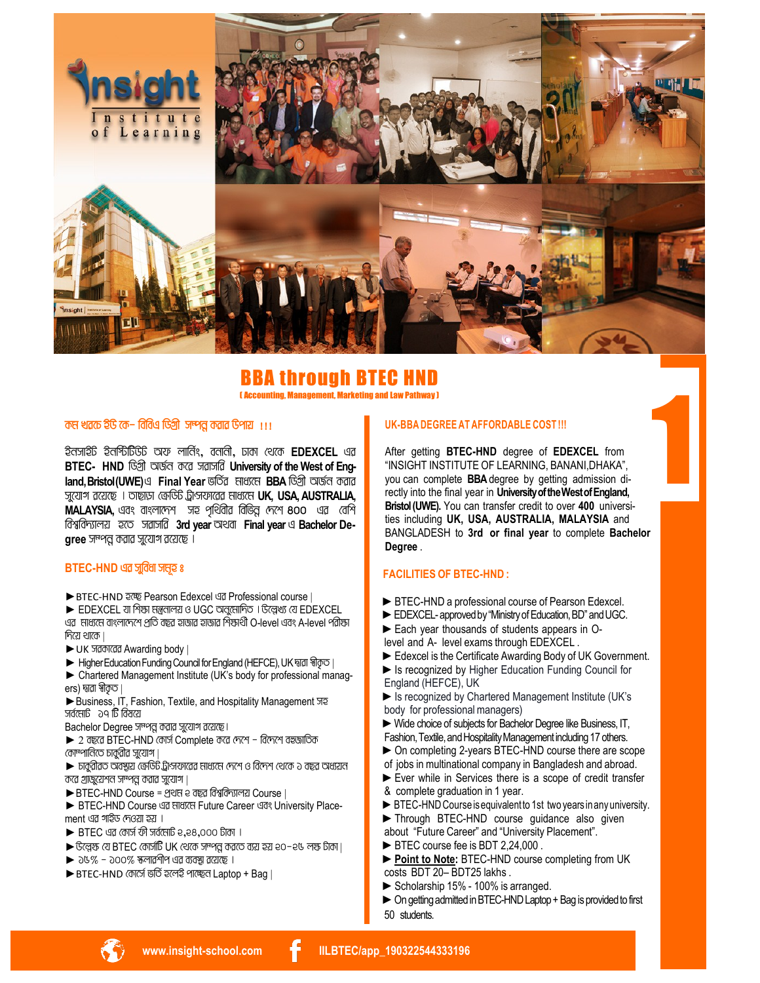

# BBA through BTEC HND

**(Accounting, Management, Marketing and Law Pathway)** 

# কম খরচে ইডি কে- বিবিএ ডিগ্রী সম্পর করার উপায় ।।।

ইনসাইট ইনর্শ্চিটিউট অফ লার্নিং, বনানী, ঢাকা থেকে EDEXCEL এর BTEC- HND ডিগ্রী অর্জন করে সরাসরি University of the West of England, Bristol (UWE) এ Final Year ভৰ্তিৱ মাধ্যমে BBA ডিগ্ৰী অৰ্জন কৱাৱ সুযোগ রয়েছে । তাছাড়া ক্রেডিট ট্রান্সফারের মাধ্যমে UK, USA, AUSTRALIA, MALAYSIA, এবং বাংলাদেশ সহ পৃথিবীর বিভিন্ন দেশে 800 এর বেশি বিশ্ববিদ্যালয় হতে সৱাসৱি 3rd year অথবা Final year এ Bachelor De $g$ ree সম্পন্ন করার সুযোগ রয়েছে ।

#### BTEC-HND এর সুবিধা সম্রহ ঃ

▶ BTEC-HND ইচ্ছে Pearson Edexcel এর Professional course

▶ EDEXCEL যা শিক্ষা মন্ত্রনালয় ও UGC অনুমোদিত । উল্লেখ্য যে EDEXCEL এর মাধ্যমে বাংলাদেশে প্রতি বছর হাজার হাজার শিক্ষার্থী O-level এবং A-level পরীক্ষা  $f$ নিয়ে থাকে।

- ► UK जतकारतव Awarding body |
- Higher Education Funding Council for England (HEFCE), UK দ্বারা স্বীকৃত।
- > Chartered Management Institute (UK's body for professional managers) দ্বাৱা স্বীকত ।

Business, IT, Fashion, Textile, and Hospitality Management जर 

Bachelor Degree সম্পন্ন করার সুযোগ রয়েছে।

- $\blacktriangleright$  2 বছরে BTEC-HND কোর্স Complete করে দেশে বিদেশে বহুজাতিক কোম্পানিতে চার্কুৱীৱ সুযোগ |
- $\blacktriangleright$  চার্কুরীরত অবস্থায় ক্রেডিট ট্রান্সফারের মাধ্যমে দেশে ও বিদেশ থেকে ১ বছর অধ্যয়ন করে গ্রাজুয়েশন সম্পন্ন করার সুযোগ।
- ▶ BTEC-HND Course = প্রথম e বছর বিশ্ববিদ্যালয় Course |

▶ BTEC-HND Course ଏর মাধ্যমে Future Career ଏবং University Placement এর গাইড দেওয়া হয় ।

- $\blacktriangleright$  BTEC এর কোর্স ফী সর্বমোট ২,২৪,০০০ টাকা ।
- ▶ উল্লেস্ক যে BTEC কোর্সটি UK থেকে সম্পর করতে ব্যয় হয় ২০-২৬ লক্ষ টাকা।
- $\triangleright$  26% 200% रुलातमीन पत व्यवञ्चा तत्यां ।
- ▶ BTEC-HND কোর্ডো ভর্তি হলেই পাচ্ছেন Laptop + Bag |

#### UK-BBA DEGREE AT AFFORDABLE COST !!!

After getting BTEC-HND degree of EDEXCEL from "INSIGHT INSTITUTE OF LEARNING, BANANI, DHAKA", you can complete BBA degree by getting admission directly into the final year in University of the West of England, Bristol (UWE). You can transfer credit to over 400 universities including UK, USA, AUSTRALIA, MALAYSIA and BANGLADESH to 3rd or final year to complete Bachelor Degree.

# **FACILITIES OF BTEC-HND:**

- BIFC-HND a professional course of Pearson Edexcel.
- EDEXCEL-approved by "Ministry of Education, BD" and UGC.
- Each year thousands of students appears in Olevel and A- level exams through EDEXCEL.
- Edexcel is the Certificate Awarding Body of UK Government.
- In Is recognized by Higher Education Funding Council for
- England (HEFCE), UK Similar Is recognized by Chartered Management Institute (UK's body for professional managers)
- ▶ Wide choice of subjects for Bachelor Degree like Business, IT, Fashion, Textile, and Hospitality Management including 17 others.
- On completing 2-years BTEC-HND course there are scope of jobs in multinational company in Bangladesh and abroad.
- Ever while in Services there is a scope of credit transfer & complete graduation in 1 year.
- BTEC-HND Course is equivalent to 1st two years in any university. Through BTEC-HND course guidance also given
- about "Future Career" and "University Placement".
- BTEC course fee is BDT 2,24,000.
- ▶ Point to Note: BTEC-HND course completing from UK costs BDT 20-BDT25 lakhs.
- Scholarship 15% 100% is arranged.
- On getting admitted in BTEC-HND Laptop + Bag is provided to first 50 students.

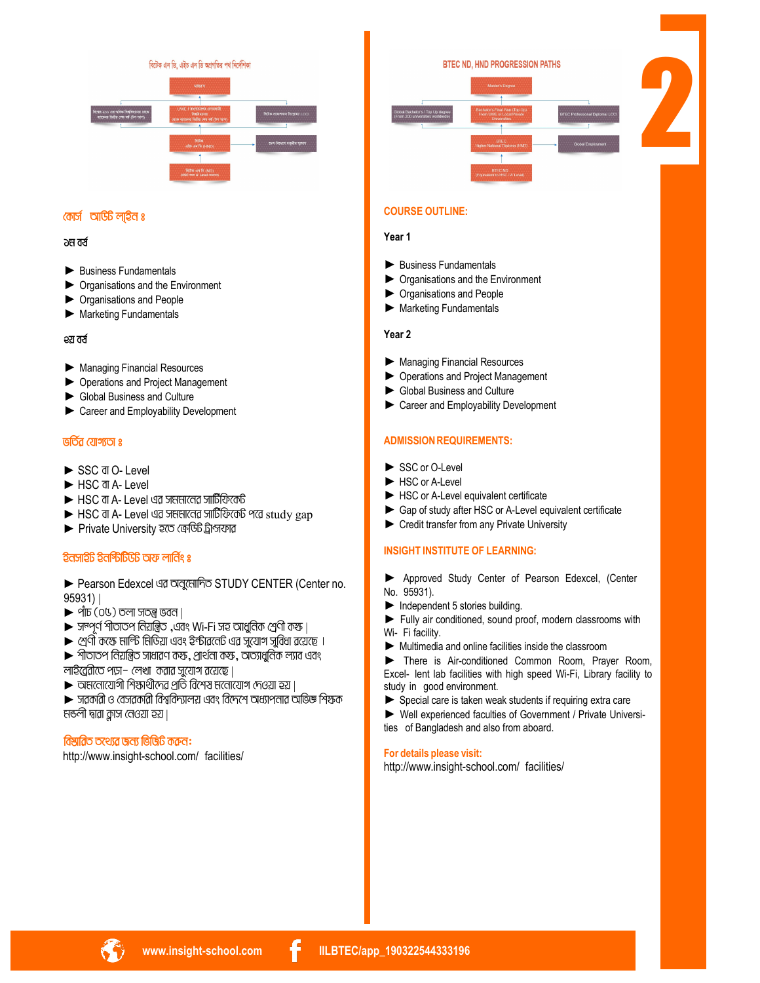বিটেক এন ডি. এইচ এন ডি অগ্ৰগতির পথ নির্দেশিকা



# 2

**BTEC ND. HND PROGRESSION PATHS** 

# **COURSE OUTLINE:**

#### **Year 1**

- ► Business Fundamentals
- ► Organisations and the Environment
- ► Organisations and People
- ► Marketing Fundamentals

#### **Year 2**

- ► Managing Financial Resources
- ► Operations and Project Management
- ► Global Business and Culture
- ► Career and Employability Development

# **ADMISSION REQUIREMENTS:**

- ► SSC or O-Level
- ► HSC or A-Level
- ► HSC or A-Level equivalent certificate
- ► Gap of study after HSC or A-Level equivalent certificate
- ► Credit transfer from any Private University

#### **INSIGHT INSTITUTE OF LEARNING:**

- ► Approved Study Center of Pearson Edexcel, (Center No. 95931).
- ► Independent 5 stories building.
- ► Fully air conditioned, sound proof, modern classrooms with Wi- Fi facility.
- ► Multimedia and online facilities inside the classroom

► There is Air-conditioned Common Room, Prayer Room, Excel- lent lab facilities with high speed Wi-Fi, Library facility to study in good environment.

► Special care is taken weak students if requiring extra care

► Well experienced faculties of Government / Private Universities of Bangladesh and also from aboard.

# **For details please visit:**

<http://www.insight-school.com/> facilities/

# **কোৰ্স আডিট লাইন ঃ**

#### **∂ম বৰ্ষ**

- ► Business Fundamentals
- ► Organisations and the Environment
- ► Organisations and People
- ► Marketing Fundamentals

#### **2**रा तर्स

- ► Managing Financial Resources
- ► Operations and Project Management
- ► Global Business and Culture
- ► Career and Employability Development

# **fwZ©i †hvM¨Zv t**

- ► SSC वा O- Level
- ► HSC वा A- Level
- $\blacktriangleright$  HSC वा A- Level এর সমমানের সার্টিফিকেট
- $\blacktriangleright$  HSC वा A- Level এর সমমানের সার্টিফিকেট পরে study gap
- ▶ Private University হতে ক্ৰেডিট ট্ৰান্সফাৱ

# **BbmvBU Bbw÷wUDU Ad jvwb©s t**

► Pearson Edexcel এর অনুমোদিত STUDY CENTER (Center no. 95931) |

- $\blacktriangleright$   $\mathring{\mathsf{q}}$  mb (04) or  $\mathring{\mathsf{q}}$  strong is an
- $\blacktriangleright$  সম্পূর্ণ পীতাতপ নিয়ন্ত্রিত ,এবং Wi-Fi সহ আধুনিক শ্রেণী কস্ক।
- $\blacktriangleright$  শ্রেণী কক্ষে দার্লিট নিডিয়া এবং ইন্টারনেট এর সুযোগ সুবিধা রয়েছে ।

 $\blacktriangleright$  পীতাতপ নিয়ন্ত্রিত সাধারণ কস্ক, প্রার্থনো কস্ক, অত্যাধুনিক ল্যাব এবং  $m$ হি $q$ ৱীতে পড়া- $m$ খা কৱাৱ সুযোগ ৱয়েছে |

 $\blacktriangleright$  অমনোযোগী শিক্ষাৰ্থীদেৱ প্ৰতি বিশেষ মনোযোগ দেওয়া হয়।

 $\blacktriangleright$  সৱকাৱী ও বেসৱকাৱী বিশ্ববিদ্যালয় এবং বিদেশে অধ্যাপনাৱ অভিজ্ঞ শিক্ষক নঙলী দ্বাৱা ক্লাস নেওয়া হয়।

#### **বিষ্টাৱিত তথ্যেৱ জন্য ভিজিটি কৰুন:**

<http://www.insight-school.com/> facilities/

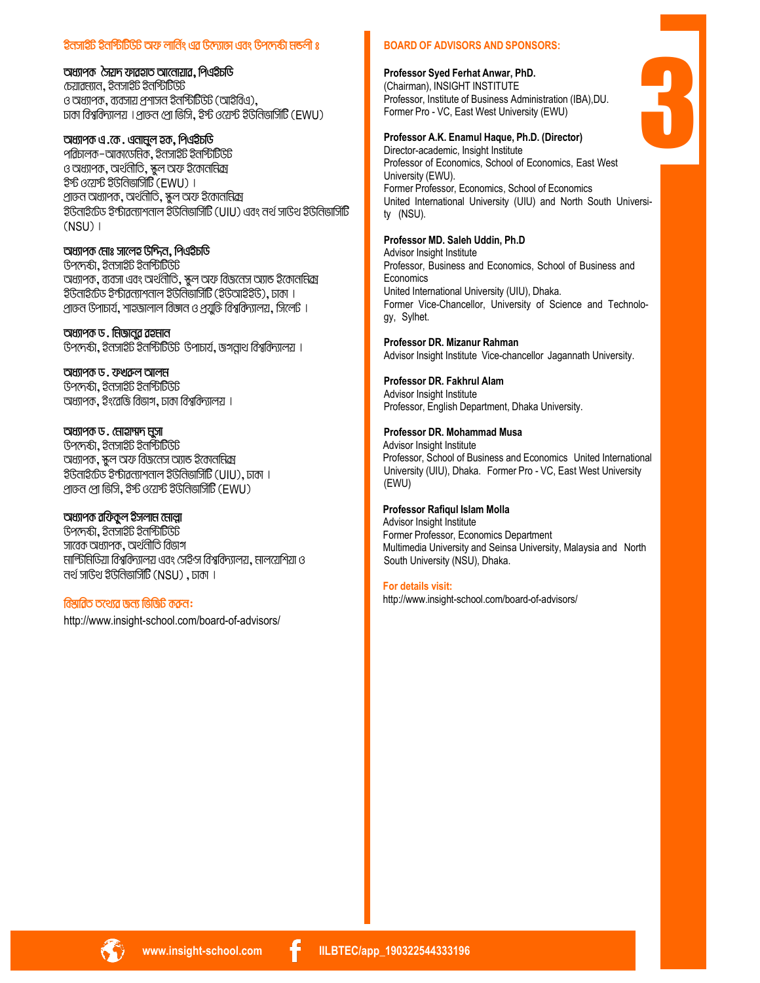# ইনসাইট ইনস্টিটিউট অফ লার্নিং এর উদ্যোজ এবং উপদেষ্টা মন্ডলী ঃ

#### অধ্যাপক সৈয়দ ফারহাত আলোয়ার, পিএইচডি

 $\overline{c}$ চয়াৱম্যান, ইনসাইট ইনস্টিটিউট ও অধ্যাপক, ব্যবসায় প্রশাসন ইনস্টিটিউট (আইবিএ), ঢাকা বিশ্ববিদ্যালয় । পাত্তন পো ভিসি, ইর্স্ট ওয়ের্স্ট ইউনিভার্সিটি (EWU)

# অধ্যাপক এ.কে. এনামুল হক, পিএইচডি

পরিচালক–আকাডেমিক, ইনসাইট ইনস্টিটিউট ও অধ্যাপক, অর্থনীতি, ক্ষুল অফ ইকোননিক্র ইর্ন্ট ওয়ের্ন্ট ইউনিভার্সিটি (EWU) । প্রাক্তন অধ্যাপক, অর্থনীতি, স্কুল অফ ইকোননিক্র ইউনাইটেড ইন্টাৱন্যাশনাল ইউনিভার্সিটি (UIU) এবং নর্থ সাড়িথ ইউনিভার্সিটি  $(NSU)$ 

# অধ্যাপক মোঃ সালেহ উদ্দিন, পিএইচডি

<u> Garagi, ইনসাইট ইনর্গিটি টি</u> অধ্যাপক, ব্যবসা এবং অর্থনীতি, স্কুল অফ বিজনেস অ্যান্ড ইকোনাধিক্র <u> ইউনাইটেড ইণ্</u>টাৱন্যাশনাল ইউনিভার্সিটি (ইউআইইউ), ঢাকা । প্রাক্তন উপাচার্য, শাহজালাল বিজ্ঞান ও প্রযুক্তি বিশ্ববিদ্যালয়, সিলেট ।

# অধ্যাপক ড. নিজাবুর রহনান

G97 की, रेतजार्टेडि रेतश्किर्डिडि G91 b7 , रूगताथ विश्वविन्गालय ।

# অধ্যাপক ড. ফখকল আলম

<u> Gপদেষ্ঠা, ইনসাইট ইনস্টিটিউট</u> অধ্যাপক, ইংরেজি বিভাগ, ঢাকা বিশ্ববিদ্যালয় ।

#### অধ্যাপক ড. মোহাম্মদ মুসা

<u> Gপদেষ্ঠা, ইনসাইট ইনস্টিটিউট</u> অধ্যাপক, স্কুল অফ বিজনেস অ্যান্ড ইকোননিক্রা ইউনাইটেড ইন্টাৱন্যাশনাল ইউনিভার্সিটি (UIU), ঢাকা । প্রান্তন প্রো ভিসি, ইস্ট ওয়েস্ট ইউনিভার্সিটি (EWU)

# অধ্যাপক ৱফিকুল ইসলাম মোল্লা

 $G$ পদেষ্টা, ইনসাই $G$  ইনর্গিটিডি সাবেক অধ্যাপক, অর্থনীতি বিভাগ মার্লিটিয়ািতিয়া বিশ্ববিদ্যালয় এবং সেইন্স বিশ্ববিদ্যালয়, মালয়েশিয়া ও तर्थ जाएँथ रैऐति जिलि (NSU), जना ।

#### বিষ্মাৱিত তথ্যেৱ জন্য ভিজিটি কৰুন:

http://www.insight-school.com/board-of-advisors/

#### **BOARD OF ADVISORS AND SPONSORS:**

#### Professor Syed Ferhat Anwar, PhD.

(Chairman), INSIGHT INSTITUTE Professor, Institute of Business Administration (IBA), DU. Former Pro - VC, East West University (EWU)

#### Professor A.K. Enamul Haque, Ph.D. (Director)

Director-academic, Insight Institute Professor of Economics, School of Economics, East West University (EWU). Former Professor, Economics, School of Economics United International University (UIU) and North South University (NSU).

# Professor MD. Saleh Uddin, Ph.D

Advisor Insight Institute Professor, Business and Economics, School of Business and Economics United International University (UIU), Dhaka. Former Vice-Chancellor, University of Science and Technology, Sylhet.

#### Professor DR. Mizanur Rahman

Advisor Insight Institute Vice-chancellor Jagannath University.

# Professor DR. Fakhrul Alam

Advisor Insight Institute Professor, English Department, Dhaka University.

#### Professor DR. Mohammad Musa

Advisor Insight Institute Professor, School of Business and Economics United International University (UIU), Dhaka. Former Pro - VC, East West University (EWU)

#### Professor Rafigul Islam Molla

Advisor Insight Institute Former Professor, Economics Department Multimedia University and Seinsa University, Malaysia and North South University (NSU), Dhaka.

#### For details visit:

http://www.insight-school.com/board-of-advisors/